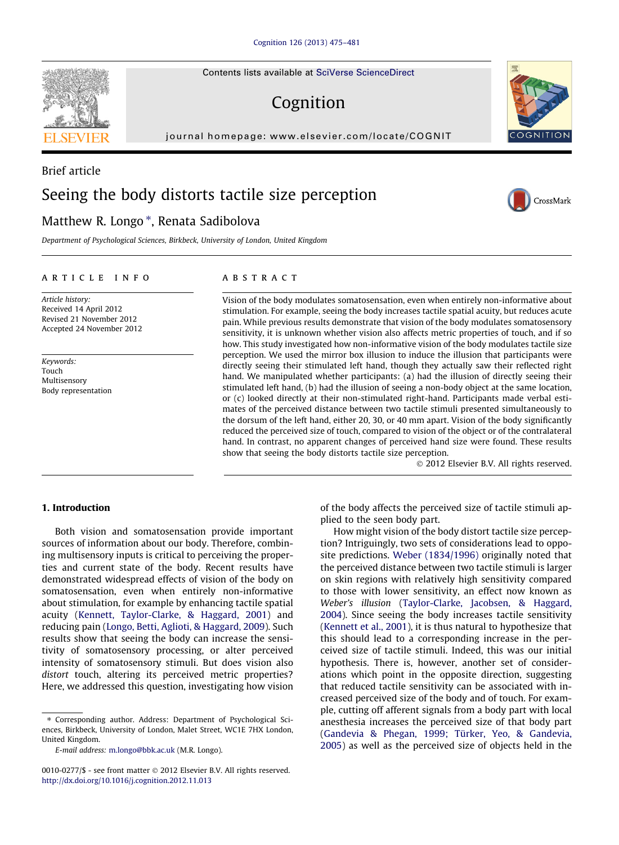Contents lists available at [SciVerse ScienceDirect](http://www.sciencedirect.com/science/journal/00100277)

# Cognition

journal homepage: [www.elsevier.com/locate/COGNIT](http://www.elsevier.com/locate/COGNIT)

# Brief article Seeing the body distorts tactile size perception

## Matthew R. Longo \*, Renata Sadibolova

Department of Psychological Sciences, Birkbeck, University of London, United Kingdom

#### article info

Article history: Received 14 April 2012 Revised 21 November 2012 Accepted 24 November 2012

Keywords: Touch Multisensory Body representation

### ABSTRACT

Vision of the body modulates somatosensation, even when entirely non-informative about stimulation. For example, seeing the body increases tactile spatial acuity, but reduces acute pain. While previous results demonstrate that vision of the body modulates somatosensory sensitivity, it is unknown whether vision also affects metric properties of touch, and if so how. This study investigated how non-informative vision of the body modulates tactile size perception. We used the mirror box illusion to induce the illusion that participants were directly seeing their stimulated left hand, though they actually saw their reflected right hand. We manipulated whether participants: (a) had the illusion of directly seeing their stimulated left hand, (b) had the illusion of seeing a non-body object at the same location, or (c) looked directly at their non-stimulated right-hand. Participants made verbal estimates of the perceived distance between two tactile stimuli presented simultaneously to the dorsum of the left hand, either 20, 30, or 40 mm apart. Vision of the body significantly reduced the perceived size of touch, compared to vision of the object or of the contralateral hand. In contrast, no apparent changes of perceived hand size were found. These results show that seeing the body distorts tactile size perception.

- 2012 Elsevier B.V. All rights reserved.

### 1. Introduction

Both vision and somatosensation provide important sources of information about our body. Therefore, combining multisensory inputs is critical to perceiving the properties and current state of the body. Recent results have demonstrated widespread effects of vision of the body on somatosensation, even when entirely non-informative about stimulation, for example by enhancing tactile spatial acuity [\(Kennett, Taylor-Clarke, & Haggard, 2001](#page-6-0)) and reducing pain ([Longo, Betti, Aglioti, & Haggard, 2009](#page-6-0)). Such results show that seeing the body can increase the sensitivity of somatosensory processing, or alter perceived intensity of somatosensory stimuli. But does vision also distort touch, altering its perceived metric properties? Here, we addressed this question, investigating how vision

⇑ Corresponding author. Address: Department of Psychological Sciences, Birkbeck, University of London, Malet Street, WC1E 7HX London, United Kingdom.

0010-0277/\$ - see front matter © 2012 Elsevier B.V. All rights reserved. <http://dx.doi.org/10.1016/j.cognition.2012.11.013>

of the body affects the perceived size of tactile stimuli applied to the seen body part.

How might vision of the body distort tactile size perception? Intriguingly, two sets of considerations lead to opposite predictions. [Weber \(1834/1996\)](#page-6-0) originally noted that the perceived distance between two tactile stimuli is larger on skin regions with relatively high sensitivity compared to those with lower sensitivity, an effect now known as Weber's illusion [\(Taylor-Clarke, Jacobsen, & Haggard,](#page-6-0) [2004\)](#page-6-0). Since seeing the body increases tactile sensitivity [\(Kennett et al., 2001](#page-6-0)), it is thus natural to hypothesize that this should lead to a corresponding increase in the perceived size of tactile stimuli. Indeed, this was our initial hypothesis. There is, however, another set of considerations which point in the opposite direction, suggesting that reduced tactile sensitivity can be associated with increased perceived size of the body and of touch. For example, cutting off afferent signals from a body part with local anesthesia increases the perceived size of that body part [\(Gandevia & Phegan, 1999; Türker, Yeo, & Gandevia,](#page-6-0) [2005\)](#page-6-0) as well as the perceived size of objects held in the







E-mail address: [m.longo@bbk.ac.uk](mailto:m.longo@bbk.ac.uk) (M.R. Longo).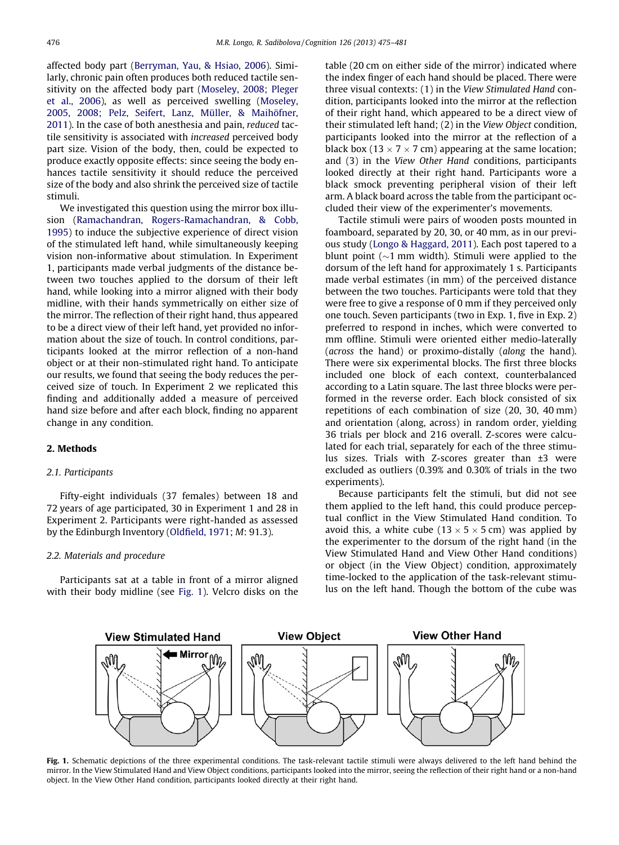affected body part [\(Berryman, Yau, & Hsiao, 2006](#page-6-0)). Similarly, chronic pain often produces both reduced tactile sensitivity on the affected body part [\(Moseley, 2008; Pleger](#page-6-0) [et al., 2006\)](#page-6-0), as well as perceived swelling [\(Moseley,](#page-6-0) [2005, 2008; Pelz, Seifert, Lanz, Müller, & Maihöfner,](#page-6-0) [2011](#page-6-0)). In the case of both anesthesia and pain, reduced tactile sensitivity is associated with increased perceived body part size. Vision of the body, then, could be expected to produce exactly opposite effects: since seeing the body enhances tactile sensitivity it should reduce the perceived size of the body and also shrink the perceived size of tactile stimuli.

We investigated this question using the mirror box illusion ([Ramachandran, Rogers-Ramachandran, & Cobb,](#page-6-0) [1995](#page-6-0)) to induce the subjective experience of direct vision of the stimulated left hand, while simultaneously keeping vision non-informative about stimulation. In Experiment 1, participants made verbal judgments of the distance between two touches applied to the dorsum of their left hand, while looking into a mirror aligned with their body midline, with their hands symmetrically on either size of the mirror. The reflection of their right hand, thus appeared to be a direct view of their left hand, yet provided no information about the size of touch. In control conditions, participants looked at the mirror reflection of a non-hand object or at their non-stimulated right hand. To anticipate our results, we found that seeing the body reduces the perceived size of touch. In Experiment 2 we replicated this finding and additionally added a measure of perceived hand size before and after each block, finding no apparent change in any condition.

#### 2. Methods

#### 2.1. Participants

Fifty-eight individuals (37 females) between 18 and 72 years of age participated, 30 in Experiment 1 and 28 in Experiment 2. Participants were right-handed as assessed by the Edinburgh Inventory [\(Oldfield, 1971](#page-6-0); M: 91.3).

#### 2.2. Materials and procedure

Participants sat at a table in front of a mirror aligned with their body midline (see Fig. 1). Velcro disks on the table (20 cm on either side of the mirror) indicated where the index finger of each hand should be placed. There were three visual contexts: (1) in the View Stimulated Hand condition, participants looked into the mirror at the reflection of their right hand, which appeared to be a direct view of their stimulated left hand; (2) in the View Object condition, participants looked into the mirror at the reflection of a black box (13  $\times$  7  $\times$  7 cm) appearing at the same location; and (3) in the View Other Hand conditions, participants looked directly at their right hand. Participants wore a black smock preventing peripheral vision of their left arm. A black board across the table from the participant occluded their view of the experimenter's movements.

Tactile stimuli were pairs of wooden posts mounted in foamboard, separated by 20, 30, or 40 mm, as in our previous study [\(Longo & Haggard, 2011](#page-6-0)). Each post tapered to a blunt point  $(\sim 1$  mm width). Stimuli were applied to the dorsum of the left hand for approximately 1 s. Participants made verbal estimates (in mm) of the perceived distance between the two touches. Participants were told that they were free to give a response of 0 mm if they perceived only one touch. Seven participants (two in Exp. 1, five in Exp. 2) preferred to respond in inches, which were converted to mm offline. Stimuli were oriented either medio-laterally (across the hand) or proximo-distally (along the hand). There were six experimental blocks. The first three blocks included one block of each context, counterbalanced according to a Latin square. The last three blocks were performed in the reverse order. Each block consisted of six repetitions of each combination of size (20, 30, 40 mm) and orientation (along, across) in random order, yielding 36 trials per block and 216 overall. Z-scores were calculated for each trial, separately for each of the three stimulus sizes. Trials with Z-scores greater than ±3 were excluded as outliers (0.39% and 0.30% of trials in the two experiments).

Because participants felt the stimuli, but did not see them applied to the left hand, this could produce perceptual conflict in the View Stimulated Hand condition. To avoid this, a white cube (13  $\times$  5  $\times$  5 cm) was applied by the experimenter to the dorsum of the right hand (in the View Stimulated Hand and View Other Hand conditions) or object (in the View Object) condition, approximately time-locked to the application of the task-relevant stimulus on the left hand. Though the bottom of the cube was



Fig. 1. Schematic depictions of the three experimental conditions. The task-relevant tactile stimuli were always delivered to the left hand behind the mirror. In the View Stimulated Hand and View Object conditions, participants looked into the mirror, seeing the reflection of their right hand or a non-hand object. In the View Other Hand condition, participants looked directly at their right hand.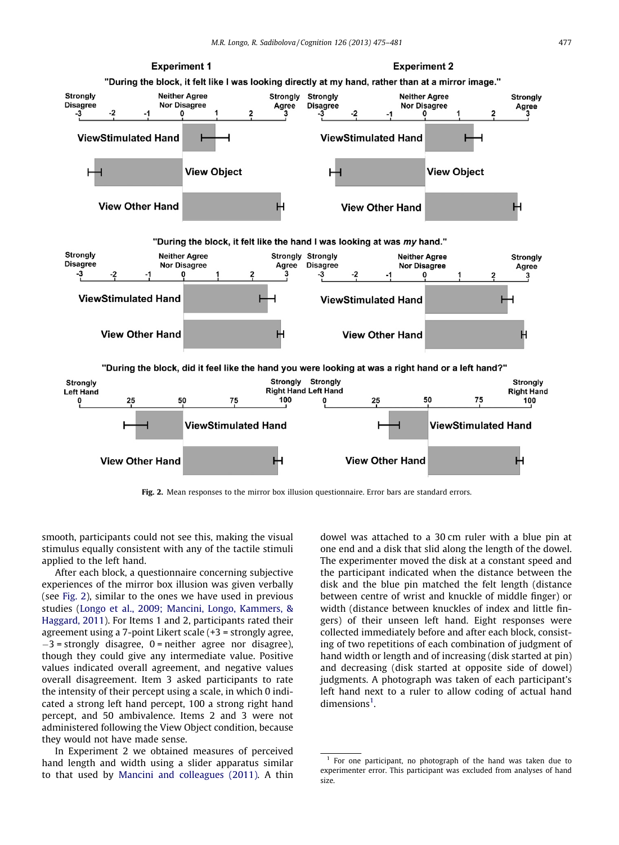<span id="page-2-0"></span>

Fig. 2. Mean responses to the mirror box illusion questionnaire. Error bars are standard errors.

smooth, participants could not see this, making the visual stimulus equally consistent with any of the tactile stimuli applied to the left hand.

After each block, a questionnaire concerning subjective experiences of the mirror box illusion was given verbally (see Fig. 2), similar to the ones we have used in previous studies [\(Longo et al., 2009; Mancini, Longo, Kammers, &](#page-6-0) [Haggard, 2011\)](#page-6-0). For Items 1 and 2, participants rated their agreement using a 7-point Likert scale (+3 = strongly agree,  $-3$  = strongly disagree, 0 = neither agree nor disagree), though they could give any intermediate value. Positive values indicated overall agreement, and negative values overall disagreement. Item 3 asked participants to rate the intensity of their percept using a scale, in which 0 indicated a strong left hand percept, 100 a strong right hand percept, and 50 ambivalence. Items 2 and 3 were not administered following the View Object condition, because they would not have made sense.

In Experiment 2 we obtained measures of perceived hand length and width using a slider apparatus similar to that used by [Mancini and colleagues \(2011\)](#page-6-0). A thin dowel was attached to a 30 cm ruler with a blue pin at one end and a disk that slid along the length of the dowel. The experimenter moved the disk at a constant speed and the participant indicated when the distance between the disk and the blue pin matched the felt length (distance between centre of wrist and knuckle of middle finger) or width (distance between knuckles of index and little fingers) of their unseen left hand. Eight responses were collected immediately before and after each block, consisting of two repetitions of each combination of judgment of hand width or length and of increasing (disk started at pin) and decreasing (disk started at opposite side of dowel) judgments. A photograph was taken of each participant's left hand next to a ruler to allow coding of actual hand  $dimensions<sup>1</sup>$ .

 $1$  For one participant, no photograph of the hand was taken due to experimenter error. This participant was excluded from analyses of hand size.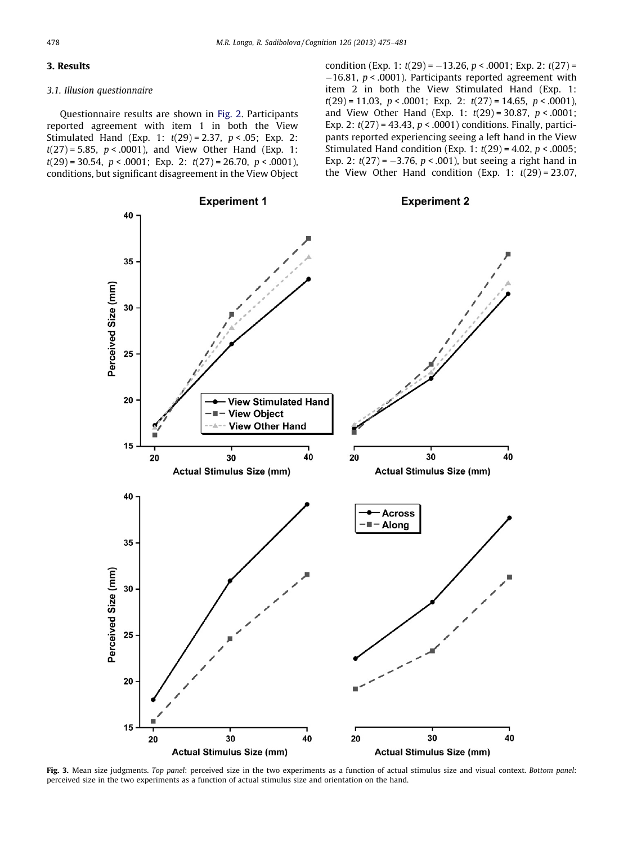#### <span id="page-3-0"></span>3. Results

#### 3.1. Illusion questionnaire

Questionnaire results are shown in [Fig. 2](#page-2-0). Participants reported agreement with item 1 in both the View Stimulated Hand (Exp. 1:  $t(29) = 2.37$ ,  $p < .05$ ; Exp. 2:  $t(27) = 5.85$ ,  $p < .0001$ ), and View Other Hand (Exp. 1:  $t(29) = 30.54$ ,  $p < .0001$ ; Exp. 2:  $t(27) = 26.70$ ,  $p < .0001$ ), conditions, but significant disagreement in the View Object condition (Exp. 1:  $t(29) = -13.26$ ,  $p < .0001$ ; Exp. 2:  $t(27) =$  $-16.81$ ,  $p < .0001$ ). Participants reported agreement with item 2 in both the View Stimulated Hand (Exp. 1:  $t(29) = 11.03$ ,  $p < .0001$ ; Exp. 2:  $t(27) = 14.65$ ,  $p < .0001$ ), and View Other Hand (Exp. 1:  $t(29) = 30.87$ ,  $p < .0001$ ; Exp. 2:  $t(27) = 43.43$ ,  $p < .0001$ ) conditions. Finally, participants reported experiencing seeing a left hand in the View Stimulated Hand condition (Exp. 1:  $t(29) = 4.02$ ,  $p < .0005$ ; Exp. 2:  $t(27) = -3.76$ ,  $p < .001$ ), but seeing a right hand in the View Other Hand condition (Exp. 1:  $t(29) = 23.07$ ,



Fig. 3. Mean size judgments. Top panel: perceived size in the two experiments as a function of actual stimulus size and visual context. Bottom panel: perceived size in the two experiments as a function of actual stimulus size and orientation on the hand.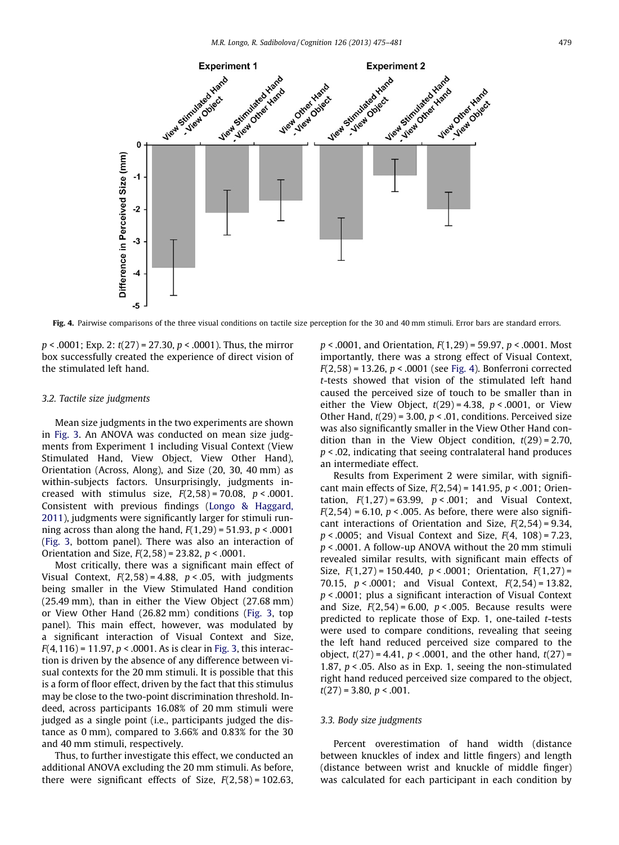

Fig. 4. Pairwise comparisons of the three visual conditions on tactile size perception for the 30 and 40 mm stimuli. Error bars are standard errors.

 $p < .0001$ ; Exp. 2:  $t(27) = 27.30, p < .0001$ ). Thus, the mirror box successfully created the experience of direct vision of the stimulated left hand.

#### 3.2. Tactile size judgments

Mean size judgments in the two experiments are shown in [Fig. 3](#page-3-0). An ANOVA was conducted on mean size judgments from Experiment 1 including Visual Context (View Stimulated Hand, View Object, View Other Hand), Orientation (Across, Along), and Size (20, 30, 40 mm) as within-subjects factors. Unsurprisingly, judgments increased with stimulus size,  $F(2,58) = 70.08$ ,  $p < .0001$ . Consistent with previous findings [\(Longo & Haggard,](#page-6-0) [2011\)](#page-6-0), judgments were significantly larger for stimuli running across than along the hand,  $F(1,29) = 51.93$ ,  $p < .0001$ ([Fig. 3,](#page-3-0) bottom panel). There was also an interaction of Orientation and Size,  $F(2,58) = 23.82$ ,  $p < .0001$ .

Most critically, there was a significant main effect of Visual Context,  $F(2,58) = 4.88$ ,  $p < .05$ , with judgments being smaller in the View Stimulated Hand condition (25.49 mm), than in either the View Object (27.68 mm) or View Other Hand (26.82 mm) conditions [\(Fig. 3](#page-3-0), top panel). This main effect, however, was modulated by a significant interaction of Visual Context and Size,  $F(4, 116) = 11.97$ ,  $p < .0001$ . As is clear in [Fig. 3](#page-3-0), this interaction is driven by the absence of any difference between visual contexts for the 20 mm stimuli. It is possible that this is a form of floor effect, driven by the fact that this stimulus may be close to the two-point discrimination threshold. Indeed, across participants 16.08% of 20 mm stimuli were judged as a single point (i.e., participants judged the distance as 0 mm), compared to 3.66% and 0.83% for the 30 and 40 mm stimuli, respectively.

Thus, to further investigate this effect, we conducted an additional ANOVA excluding the 20 mm stimuli. As before, there were significant effects of Size,  $F(2,58) = 102.63$ ,  $p < .0001$ , and Orientation,  $F(1,29) = 59.97$ ,  $p < .0001$ . Most importantly, there was a strong effect of Visual Context,  $F(2,58) = 13.26$ ,  $p < .0001$  (see Fig. 4). Bonferroni corrected t-tests showed that vision of the stimulated left hand caused the perceived size of touch to be smaller than in either the View Object,  $t(29) = 4.38$ ,  $p < .0001$ , or View Other Hand,  $t(29) = 3.00$ ,  $p < .01$ , conditions. Perceived size was also significantly smaller in the View Other Hand condition than in the View Object condition,  $t(29) = 2.70$ ,  $p < .02$ , indicating that seeing contralateral hand produces an intermediate effect.

Results from Experiment 2 were similar, with significant main effects of Size,  $F(2,54) = 141.95$ ,  $p < .001$ ; Orientation,  $F(1,27) = 63.99$ ,  $p < .001$ ; and Visual Context,  $F(2,54) = 6.10$ ,  $p < .005$ . As before, there were also significant interactions of Orientation and Size,  $F(2,54) = 9.34$ ,  $p < .0005$ ; and Visual Context and Size,  $F(4, 108) = 7.23$ , p < .0001. A follow-up ANOVA without the 20 mm stimuli revealed similar results, with significant main effects of Size,  $F(1,27) = 150.440$ ,  $p < .0001$ ; Orientation,  $F(1,27) =$ 70.15,  $p < .0001$ ; and Visual Context,  $F(2,54) = 13.82$ ,  $p < .0001$ ; plus a significant interaction of Visual Context and Size,  $F(2,54) = 6.00$ ,  $p < .005$ . Because results were predicted to replicate those of Exp. 1, one-tailed t-tests were used to compare conditions, revealing that seeing the left hand reduced perceived size compared to the object,  $t(27) = 4.41$ ,  $p < .0001$ , and the other hand,  $t(27) =$ 1.87,  $p <$  0.05. Also as in Exp. 1, seeing the non-stimulated right hand reduced perceived size compared to the object,  $t(27) = 3.80, p < .001.$ 

#### 3.3. Body size judgments

Percent overestimation of hand width (distance between knuckles of index and little fingers) and length (distance between wrist and knuckle of middle finger) was calculated for each participant in each condition by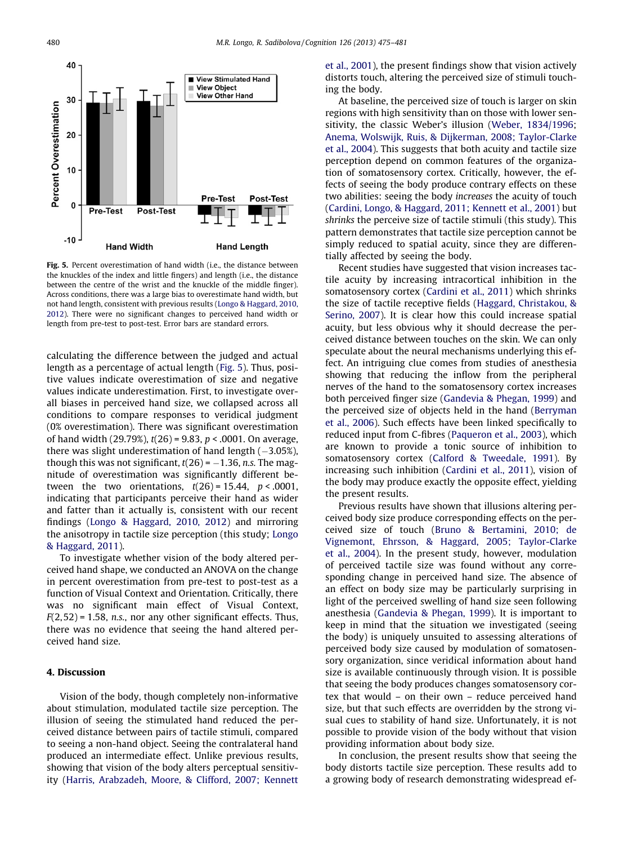

Fig. 5. Percent overestimation of hand width (i.e., the distance between the knuckles of the index and little fingers) and length (i.e., the distance between the centre of the wrist and the knuckle of the middle finger). Across conditions, there was a large bias to overestimate hand width, but not hand length, consistent with previous results ([Longo & Haggard, 2010,](#page-6-0) [2012](#page-6-0)). There were no significant changes to perceived hand width or length from pre-test to post-test. Error bars are standard errors.

calculating the difference between the judged and actual length as a percentage of actual length (Fig. 5). Thus, positive values indicate overestimation of size and negative values indicate underestimation. First, to investigate overall biases in perceived hand size, we collapsed across all conditions to compare responses to veridical judgment (0% overestimation). There was significant overestimation of hand width (29.79%),  $t(26) = 9.83$ ,  $p < .0001$ . On average, there was slight underestimation of hand length  $(-3.05\%)$ , though this was not significant,  $t(26) = -1.36$ , n.s. The magnitude of overestimation was significantly different between the two orientations,  $t(26) = 15.44$ ,  $p < .0001$ , indicating that participants perceive their hand as wider and fatter than it actually is, consistent with our recent findings [\(Longo & Haggard, 2010, 2012\)](#page-6-0) and mirroring the anisotropy in tactile size perception (this study; [Longo](#page-6-0) [& Haggard, 2011\)](#page-6-0).

To investigate whether vision of the body altered perceived hand shape, we conducted an ANOVA on the change in percent overestimation from pre-test to post-test as a function of Visual Context and Orientation. Critically, there was no significant main effect of Visual Context,  $F(2,52) = 1.58$ , n.s., nor any other significant effects. Thus, there was no evidence that seeing the hand altered perceived hand size.

#### 4. Discussion

Vision of the body, though completely non-informative about stimulation, modulated tactile size perception. The illusion of seeing the stimulated hand reduced the perceived distance between pairs of tactile stimuli, compared to seeing a non-hand object. Seeing the contralateral hand produced an intermediate effect. Unlike previous results, showing that vision of the body alters perceptual sensitivity [\(Harris, Arabzadeh, Moore, & Clifford, 2007; Kennett](#page-6-0) [et al., 2001\)](#page-6-0), the present findings show that vision actively distorts touch, altering the perceived size of stimuli touching the body.

At baseline, the perceived size of touch is larger on skin regions with high sensitivity than on those with lower sensitivity, the classic Weber's illusion ([Weber, 1834/1996;](#page-6-0) [Anema, Wolswijk, Ruis, & Dijkerman, 2008; Taylor-Clarke](#page-6-0) [et al., 2004\)](#page-6-0). This suggests that both acuity and tactile size perception depend on common features of the organization of somatosensory cortex. Critically, however, the effects of seeing the body produce contrary effects on these two abilities: seeing the body increases the acuity of touch [\(Cardini, Longo, & Haggard, 2011; Kennett et al., 2001](#page-6-0)) but shrinks the perceive size of tactile stimuli (this study). This pattern demonstrates that tactile size perception cannot be simply reduced to spatial acuity, since they are differentially affected by seeing the body.

Recent studies have suggested that vision increases tactile acuity by increasing intracortical inhibition in the somatosensory cortex [\(Cardini et al., 2011\)](#page-6-0) which shrinks the size of tactile receptive fields ([Haggard, Christakou, &](#page-6-0) [Serino, 2007\)](#page-6-0). It is clear how this could increase spatial acuity, but less obvious why it should decrease the perceived distance between touches on the skin. We can only speculate about the neural mechanisms underlying this effect. An intriguing clue comes from studies of anesthesia showing that reducing the inflow from the peripheral nerves of the hand to the somatosensory cortex increases both perceived finger size [\(Gandevia & Phegan, 1999\)](#page-6-0) and the perceived size of objects held in the hand [\(Berryman](#page-6-0) [et al., 2006](#page-6-0)). Such effects have been linked specifically to reduced input from C-fibres [\(Paqueron et al., 2003\)](#page-6-0), which are known to provide a tonic source of inhibition to somatosensory cortex ([Calford & Tweedale, 1991](#page-6-0)). By increasing such inhibition [\(Cardini et al., 2011](#page-6-0)), vision of the body may produce exactly the opposite effect, yielding the present results.

Previous results have shown that illusions altering perceived body size produce corresponding effects on the perceived size of touch ([Bruno & Bertamini, 2010; de](#page-6-0) [Vignemont, Ehrsson, & Haggard, 2005; Taylor-Clarke](#page-6-0) [et al., 2004\)](#page-6-0). In the present study, however, modulation of perceived tactile size was found without any corresponding change in perceived hand size. The absence of an effect on body size may be particularly surprising in light of the perceived swelling of hand size seen following anesthesia [\(Gandevia & Phegan, 1999\)](#page-6-0). It is important to keep in mind that the situation we investigated (seeing the body) is uniquely unsuited to assessing alterations of perceived body size caused by modulation of somatosensory organization, since veridical information about hand size is available continuously through vision. It is possible that seeing the body produces changes somatosensory cortex that would – on their own – reduce perceived hand size, but that such effects are overridden by the strong visual cues to stability of hand size. Unfortunately, it is not possible to provide vision of the body without that vision providing information about body size.

In conclusion, the present results show that seeing the body distorts tactile size perception. These results add to a growing body of research demonstrating widespread ef